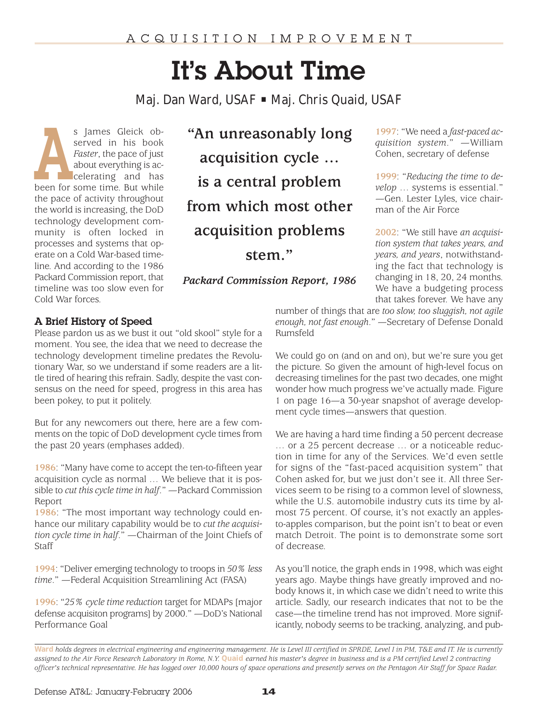# It's About Time

*Maj. Dan Ward, USAF* • *Maj. Chris Quaid, USAF*

s James Gleick ob-<br>
served in his book<br>
Faster, the pace of just<br>
about everything is ac-<br>
celerating and has<br>
been for some time. But while served in his book *Faster*, the pace of just about everything is accelerating and has the pace of activity throughout the world is increasing, the DoD technology development community is often locked in processes and systems that operate on a Cold War-based timeline. And according to the 1986 Packard Commission report, that timeline was too slow even for Cold War forces.

**"An unreasonably long acquisition cycle … is a central problem from which most other acquisition problems**

**stem."**

*Packard Commission Report, 1986*

**1997**: "We need a *fast-paced acquisition system*." —William Cohen, secretary of defense

**1999**: "*Reducing the time to develop* … systems is essential." —Gen. Lester Lyles, vice chairman of the Air Force

**2002**: "We still have *an acquisition system that takes years, and years, and years*, notwithstanding the fact that technology is changing in 18, 20, 24 months. We have a budgeting process that takes forever. We have any

# A Brief History of Speed

Please pardon us as we bust it out "old skool" style for a moment. You see, the idea that we need to decrease the technology development timeline predates the Revolutionary War, so we understand if some readers are a little tired of hearing this refrain. Sadly, despite the vast consensus on the need for speed, progress in this area has been pokey, to put it politely.

But for any newcomers out there, here are a few comments on the topic of DoD development cycle times from the past 20 years (emphases added).

**1986**: "Many have come to accept the ten-to-fifteen year acquisition cycle as normal … We believe that it is possible to *cut this cycle time in half*." —Packard Commission Report

**1986**: "The most important way technology could enhance our military capability would be to *cut the acquisition cycle time in half*." —Chairman of the Joint Chiefs of Staff

**1994**: "Deliver emerging technology to troops in *50% less time*." —Federal Acquisition Streamlining Act (FASA)

**1996**: "*25% cycle time reduction* target for MDAPs [major defense acquisiton programs] by 2000." —DoD's National Performance Goal

number of things that are *too slow, too sluggish, not agile enough, not fast enough*." —Secretary of Defense Donald Rumsfeld

We could go on (and on and on), but we're sure you get the picture. So given the amount of high-level focus on decreasing timelines for the past two decades, one might wonder how much progress we've actually made. Figure 1 on page 16—a 30-year snapshot of average development cycle times—answers that question.

We are having a hard time finding a 50 percent decrease … or a 25 percent decrease … or a noticeable reduction in time for any of the Services. We'd even settle for signs of the "fast-paced acquisition system" that Cohen asked for, but we just don't see it. All three Services seem to be rising to a common level of slowness, while the U.S. automobile industry cuts its time by almost 75 percent. Of course, it's not exactly an applesto-apples comparison, but the point isn't to beat or even match Detroit. The point is to demonstrate some sort of decrease.

As you'll notice, the graph ends in 1998, which was eight years ago. Maybe things have greatly improved and nobody knows it, in which case we didn't need to write this article. Sadly, our research indicates that not to be the case—the timeline trend has not improved. More significantly, nobody seems to be tracking, analyzing, and pub-

**Ward** *holds degrees in electrical engineering and engineering management. He is Level III certified in SPRDE, Level I in PM, T&E and IT. He is currently assigned to the Air Force Research Laboratory in Rome, N.Y.* **Quaid** *earned his master's degree in business and is a PM certified Level 2 contracting officer's technical representative. He has logged over 10,000 hours of space operations and presently serves on the Pentagon Air Staff for Space Radar.*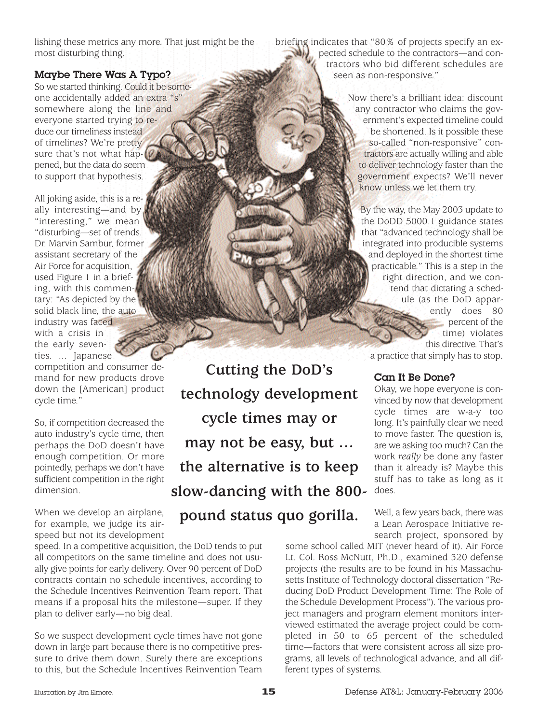lishing these metrics any more. That just might be the most disturbing thing.

# Maybe There Was A Typo?

So we started thinking. Could it be someone accidentally added an extra "s" somewhere along the line and everyone started trying to reduce our timelin*ess* instead of timelin*es*? We're pretty sure that's not what hap- $\mathfrak{p}$ pened, but the data do seem to support that hypothesis.

All joking aside, this is a really interesting—and by "interesting," we mean "disturbing—set of trends. Dr. Marvin Sambur, former assistant secretary of the Air Force for acquisition, used Figure 1 in a briefing, with this commentary: "As depicted by the solid black line, the auto industry was faced with a crisis in the early seventies. ... Japanese competition and consumer demand for new products drove down the [American] product cycle time."

So, if competition decreased the auto industry's cycle time, then perhaps the DoD doesn't have enough competition. Or more pointedly, perhaps we don't have sufficient competition in the right dimension.

When we develop an airplane, for example, we judge its airspeed but not its development

speed. In a competitive acquisition, the DoD tends to put all competitors on the same timeline and does not usually give points for early delivery. Over 90 percent of DoD contracts contain no schedule incentives, according to the Schedule Incentives Reinvention Team report. That means if a proposal hits the milestone—super. If they plan to deliver early—no big deal.

So we suspect development cycle times have not gone down in large part because there is no competitive pressure to drive them down. Surely there are exceptions to this, but the Schedule Incentives Reinvention Team briefing indicates that "80% of projects specify an expected schedule to the contractors—and contractors who bid different schedules are seen as non-responsive."

> Now there's a brilliant idea: discount any contractor who claims the government's expected timeline could be shortened. Is it possible these so-called "non-responsive" contractors are actually willing and able to deliver technology faster than the government expects? We'll never know unless we let them try.

By the way, the May 2003 update to the DoDD 5000.1 guidance states that "advanced technology shall be integrated into producible systems and deployed in the shortest time practicable." This is a step in the right direction, and we contend that dictating a schedule (as the DoD apparently does 80 percent of the time) violates this directive. That's

a practice that simply has to stop.

# Can It Be Done?

Okay, we hope everyone is convinced by now that development cycle times are w-a-y too long. It's painfully clear we need to move faster. The question is, are we asking too much? Can the work *really* be done any faster than it already is? Maybe this stuff has to take as long as it does.

Well, a few years back, there was a Lean Aerospace Initiative research project, sponsored by

some school called MIT (never heard of it). Air Force Lt. Col. Ross McNutt, Ph.D., examined 320 defense projects (the results are to be found in his Massachusetts Institute of Technology doctoral dissertation "Reducing DoD Product Development Time: The Role of the Schedule Development Process"). The various project managers and program element monitors interviewed estimated the average project could be completed in 50 to 65 percent of the scheduled time—factors that were consistent across all size programs, all levels of technological advance, and all different types of systems.

**Cutting the DoD's**

**technology development**

**cycle times may or** 

**may not be easy, but …** 

**the alternative is to keep**

**slow-dancing with the 800-**

**pound status quo gorilla.**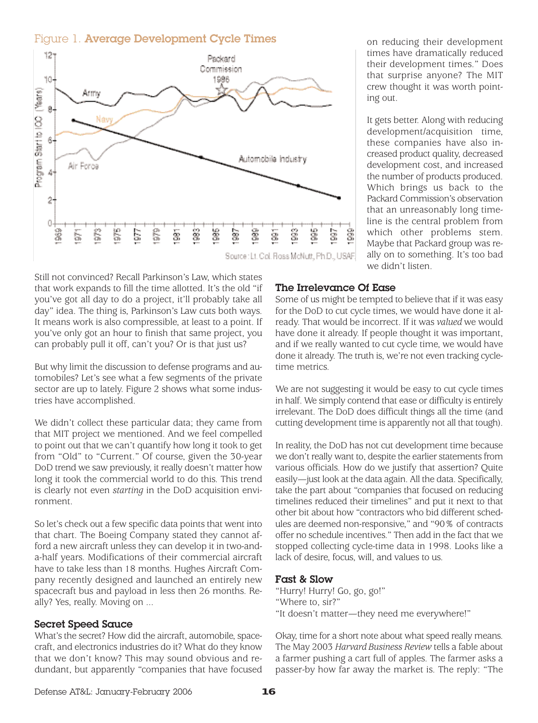# Figure 1. Average Development Cycle Times



Still not convinced? Recall Parkinson's Law, which states that work expands to fill the time allotted. It's the old "if you've got all day to do a project, it'll probably take all day" idea. The thing is, Parkinson's Law cuts both ways. It means work is also compressible, at least to a point. If you've only got an hour to finish that same project, you can probably pull it off, can't you? Or is that just us?

But why limit the discussion to defense programs and automobiles? Let's see what a few segments of the private sector are up to lately. Figure 2 shows what some industries have accomplished.

We didn't collect these particular data; they came from that MIT project we mentioned. And we feel compelled to point out that we can't quantify how long it took to get from "Old" to "Current." Of course, given the 30-year DoD trend we saw previously, it really doesn't matter how long it took the commercial world to do this. This trend is clearly not even *starting* in the DoD acquisition environment.

So let's check out a few specific data points that went into that chart. The Boeing Company stated they cannot afford a new aircraft unless they can develop it in two-anda-half years. Modifications of their commercial aircraft have to take less than 18 months. Hughes Aircraft Company recently designed and launched an entirely new spacecraft bus and payload in less then 26 months. Really? Yes, really. Moving on ...

#### Secret Speed Sauce

What's the secret? How did the aircraft, automobile, spacecraft, and electronics industries do it? What do they know that we don't know? This may sound obvious and redundant, but apparently "companies that have focused on reducing their development times have dramatically reduced their development times." Does that surprise anyone? The MIT crew thought it was worth pointing out.

It gets better. Along with reducing development/acquisition time, these companies have also increased product quality, decreased development cost, and increased the number of products produced. Which brings us back to the Packard Commission's observation that an unreasonably long timeline is the central problem from which other problems stem. Maybe that Packard group was really on to something. It's too bad we didn't listen

# The Irrelevance Of Ease

Some of us might be tempted to believe that if it was easy for the DoD to cut cycle times, we would have done it already. That would be incorrect. If it was *valued* we would have done it already. If people thought it was important, and if we really wanted to cut cycle time, we would have done it already. The truth is, we're not even tracking cycletime metrics.

We are not suggesting it would be easy to cut cycle times in half. We simply contend that ease or difficulty is entirely irrelevant. The DoD does difficult things all the time (and cutting development time is apparently not all that tough).

In reality, the DoD has not cut development time because we don't really want to, despite the earlier statements from various officials. How do we justify that assertion? Quite easily—just look at the data again. All the data. Specifically, take the part about "companies that focused on reducing timelines reduced their timelines" and put it next to that other bit about how "contractors who bid different schedules are deemed non-responsive," and "90% of contracts offer no schedule incentives." Then add in the fact that we stopped collecting cycle-time data in 1998. Looks like a lack of desire, focus, will, and values to us.

#### Fast & Slow

"Hurry! Hurry! Go, go, go!" "Where to, sir?" "It doesn't matter—they need me everywhere!"

Okay, time for a short note about what speed really means. The May 2003 *Harvard Business Review* tells a fable about a farmer pushing a cart full of apples. The farmer asks a passer-by how far away the market is. The reply: "The